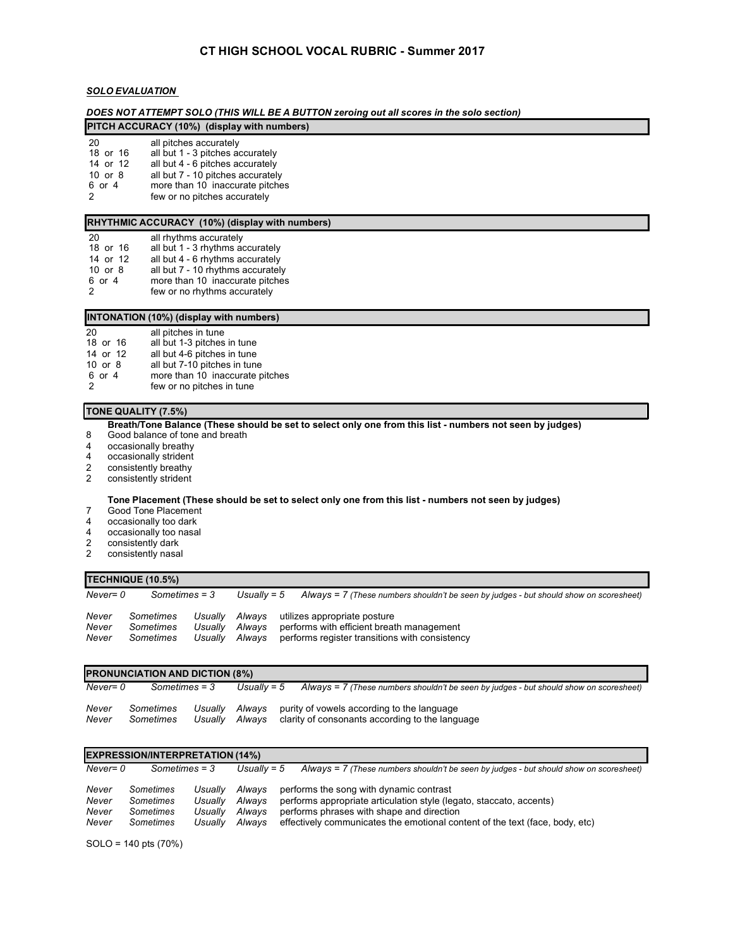# **CT HIGH SCHOOL VOCAL RUBRIC - Summer 2017**

# *SOLO EVALUATION*

*DOES NOT ATTEMPT SOLO (THIS WILL BE A BUTTON zeroing out all scores in the solo section)*

| PITCH ACCURACY (10%) (display with numbers) |  |
|---------------------------------------------|--|
|---------------------------------------------|--|

| -20       | all pitches accurately    |
|-----------|---------------------------|
| $10 - 10$ | وسيموه ومطوائف المشبط الم |

18 or 16 all but 1 - 3 pitches accurately<br>14 or 12 all but 4 - 6 pitches accurately

14 or 12 all but 4 - 6 pitches accurately<br>10 or 8 all but 7 - 10 pitches accuratel all but 7 - 10 pitches accurately

6 or 4 more than 10 inaccurate pitches<br>2 few or no pitches accurately

few or no pitches accurately

# **RHYTHMIC ACCURACY (10%) (display with numbers)**

| 20            | all rhythms accurately            |
|---------------|-----------------------------------|
| 18 or 16      | all but 1 - 3 rhythms accurately  |
| 14 or 12      | all but 4 - 6 rhythms accurately  |
| $10$ or $8$   | all but 7 - 10 rhythms accurately |
| 6 or 4        | more than 10 inaccurate pitches   |
| $\mathcal{P}$ | few or no rhythms accurately      |

## **INTONATION (10%) (display with numbers)**

|             | $\cdots$                        |
|-------------|---------------------------------|
| 20          | all pitches in tune             |
| 18 or 16    | all but 1-3 pitches in tune     |
| 14 or 12    | all but 4-6 pitches in tune     |
| $10$ or $8$ | all but 7-10 pitches in tune    |
| 6 or 4      | more than 10 inaccurate pitches |
| 2           | few or no pitches in tune       |

### **TONE QUALITY (7.5%)**

Breath/Tone Balance (These should be set to select only one from this list - numbers not seen by judges)

- 8 Good balance of tone and breath
- 4 occasionally breathy<br>4 occasionally strident
- 4 occasionally strident<br>2 consistently breathy
- 2 consistently breathy<br>2 consistently strident
- consistently strident

### Tone Placement (These should be set to select only one from this list - numbers not seen by judges)

- 7 Good Tone Placement<br>4 occasionally too dark
- occasionally too dark
- 4 occasionally too nasal
- 2 consistently dark<br>2 consistently nasa
- consistently nasal

# **TECHNIQUE (10.5%)**

| Never= 0<br>Sometimes = 3 |                        | Usuallv = 5 | Always = $7$ (These numbers shouldn't be seen by judges - but should show on scoresheet) |                                                                                                         |
|---------------------------|------------------------|-------------|------------------------------------------------------------------------------------------|---------------------------------------------------------------------------------------------------------|
| Never<br>Never            | Sometimes<br>Sometimes |             |                                                                                          | Usually Always utilizes appropriate posture<br>Usually Always performs with efficient breath management |
| Never                     | Sometimes              | Usuallv     | Alwavs                                                                                   | performs register transitions with consistency                                                          |

| IPRONUNCIATION AND DICTION (8%) |                        |                    |                  |  |                                                                                               |  |  |
|---------------------------------|------------------------|--------------------|------------------|--|-----------------------------------------------------------------------------------------------|--|--|
| Never= 0                        | Sometimes = 3          |                    | Usually = $5$    |  | Always = 7 (These numbers shouldn't be seen by judges - but should show on scoresheet)        |  |  |
| Never<br>Never                  | Sometimes<br>Sometimes | Usuallv<br>Usually | Alwavs<br>Alwavs |  | purity of vowels according to the language<br>clarity of consonants according to the language |  |  |

#### **EXPRESSION/INTERPRETATION (14%)**

**PRONUNCIATION AND DICTION (8%)**

| Never<br>Alwavs<br>performs the song with dynamic contrast<br>Sometimes<br>Usually<br>Never<br>performs appropriate articulation style (legato, staccato, accents)<br>Sometimes<br>Alwavs<br>Usually<br>Never<br>performs phrases with shape and direction<br>Sometimes<br>Alwavs<br>Usually<br>effectively communicates the emotional content of the text (face, body, etc)<br>Never<br>Sometimes<br>Alwavs<br>Usually | Never= 0 | $Sometimes = 3$ |  | Usually = $5$ | Always = 7 (These numbers shouldn't be seen by judges - but should show on scoresheet) |
|-------------------------------------------------------------------------------------------------------------------------------------------------------------------------------------------------------------------------------------------------------------------------------------------------------------------------------------------------------------------------------------------------------------------------|----------|-----------------|--|---------------|----------------------------------------------------------------------------------------|
|                                                                                                                                                                                                                                                                                                                                                                                                                         |          |                 |  |               |                                                                                        |

SOLO = 140 pts (70%)